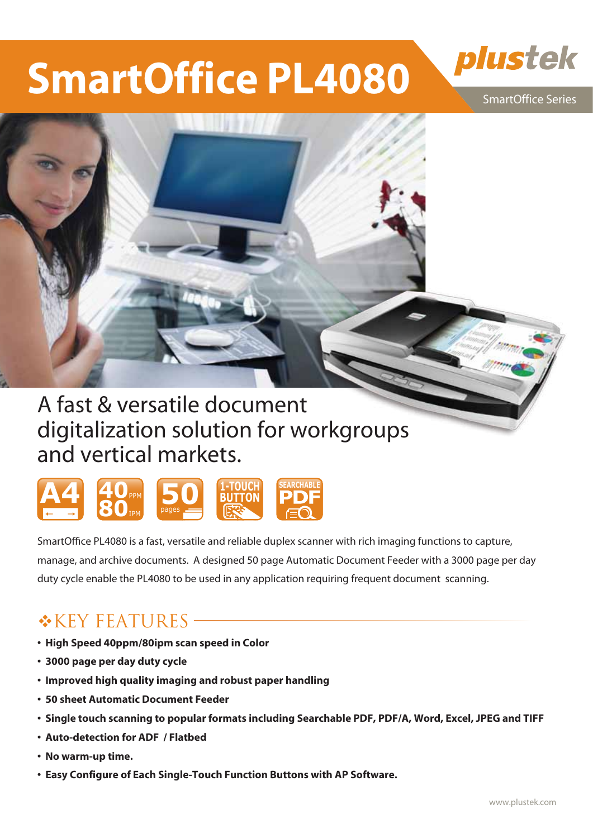# **SmartOffice PL4080**



SmartOffice Series



# digitalization solution for workgroups and vertical markets.



SmartOffice PL4080 is a fast, versatile and reliable duplex scanner with rich imaging functions to capture, manage, and archive documents. A designed 50 page Automatic Document Feeder with a 3000 page per day duty cycle enable the PL4080 to be used in any application requiring frequent document scanning.

### $*$ KEY FEATURES –

- **�High Speed 40ppm/80ipm scan speed in Color**
- **�3000 page per day duty cycle**
- **�Improved high quality imaging and robust paper handling**
- **�50 sheet Automatic Document Feeder**
- **�Single touch scanning to popular formats including Searchable PDF, PDF/A, Word, Excel, JPEG and TIFF**
- **�Auto-detection for ADF / Flatbed**
- **�No warm-up time.**
- **�Easy Configure of Each Single-Touch Function Buttons with AP Software.**